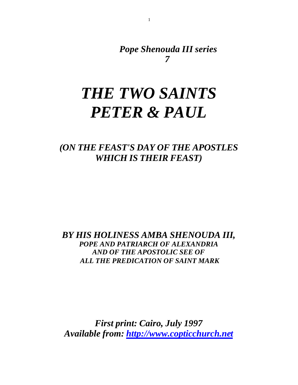*Pope Shenouda III series 7*

# *THE TWO SAINTS PETER & PAUL*

*(ON THE FEAST'S DAY OF THE APOSTLES WHICH IS THEIR FEAST)*

# *BY HIS HOLINESS AMBA SHENOUDA III, POPE AND PATRIARCH OF ALEXANDRIA AND OF THE APOSTOLIC SEE OF ALL THE PREDICATION OF SAINT MARK*

*First print: Cairo, July 1997 Available from:<http://www.copticchurch.net>*

1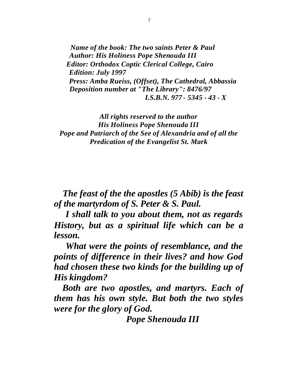*Name of the book: The two saints Peter & Paul Author: His Holiness Pope Shenouda III Editor: Orthodox Coptic Clerical College, Cairo Edition: July 1997 Press: Amba Rueiss, (Offset), The Cathedral, Abbassia Deposition number at "The Library": 8476/97 I.S.B.N. 977 - 5345 - 43 - X*

*All rights reserved to the author His Holiness Pope Shenouda III Pope and Patriarch of the See of Alexandria and of all the Predication of the Evangelist St. Mark*

 *The feast of the the apostles (5 Abib) is the feast of the martyrdom of S. Peter & S. Paul.*

 *I shall talk to you about them, not as regards History, but as a spiritual life which can be a lesson.* 

 *What were the points of resemblance, and the points of difference in their lives? and how God had chosen these two kinds for the building up of His kingdom?*

 *Both are two apostles, and martyrs. Each of them has his own style. But both the two styles were for the glory of God.*

 *Pope Shenouda III*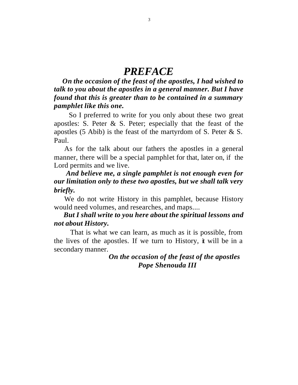# *PREFACE*

 *On the occasion of the feast of the apostles, I had wished to talk to you about the apostles in a general manner. But I have found that this is greater than to be contained in a summary pamphlet like this one.*

 So I preferred to write for you only about these two great apostles: S. Peter  $\&$  S. Peter; especially that the feast of the apostles (5 Abib) is the feast of the martyrdom of S. Peter & S. Paul.

 As for the talk about our fathers the apostles in a general manner, there will be a special pamphlet for that, later on, if the Lord permits and we live.

 *And believe me, a single pamphlet is not enough even for our limitation only to these two apostles, but we shall talk very briefly.*

 We do not write History in this pamphlet, because History would need volumes, and researches, and maps....

# *But I shall write to you here about the spiritual lessons and not about History.*

 That is what we can learn, as much as it is possible, from the lives of the apostles. If we turn to History, it will be in a secondary manner.

# *On the occasion of the feast of the apostles Pope Shenouda III*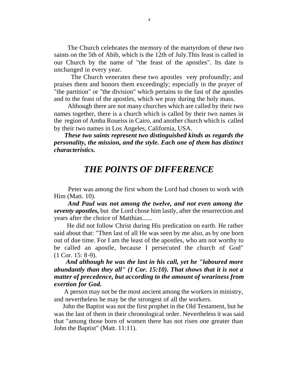The Church celebrates the memory of the martyrdom of these two saints on the 5th of Abib, which is the 12th of July.This feast is called in our Church by the name of "the feast of the apostles". Its date is unchanged in every year.

 The Church venerates these two apostles very profoundly; and praises them and honors them exceedingly; especially in the prayer of "the partition" or "the division" which pertains to the fast of the apostles and to the feast of the apostles, which we pray during the holy mass.

 Although there are not many churches which are called by their two names together, there is a church which is called by their two names in the region of Amba Roueiss in Cairo, and another church which is called by their two names in Los Angeles, California, USA.

 *These two saints represent two distinguished kinds as regards the personality, the mission, and the style. Each one of them has distinct characteristics.*

# *THE POINTS OF DIFFERENCE*

 Peter was among the first whom the Lord had chosen to work with Him (Matt. 10).

 *And Paul was not among the twelve, and not even among the seventy apostles,* but the Lord chose him lastly, after the resurrection and years after the choice of Matthias......

 He did not follow Christ during His predication on earth. He rather said about that: "Then last of all He was seen by me also, as by one born out of due time. For I am the least of the apostles, who am not worthy to be called an apostle, because I persecuted the church of God" (1 Cor. 15: 8-9).

 *And although he was the last in his call, yet he "laboured more abundantly than they all" (1 Cor. 15:10). That shows that it is not a matter of precedence, but according to the amount of weariness from exertion for God.*

 A person may not be the most ancient among the workers in ministry, and nevertheless he may be the strongest of all the workers.

 John the Baptist was not the first prophet in the Old Testament, but he was the last of them in their chronological order. Nevertheless it was said that "among those born of women there has not risen one greater than John the Baptist" (Matt. 11:11).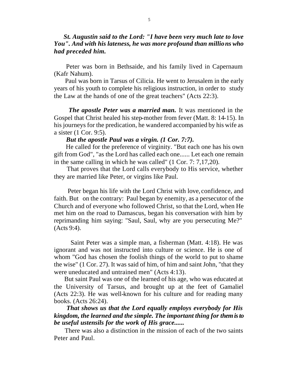### *St. Augustin said to the Lord: "I have been very much late to love You". And with his lateness, he was more profound than millions who had preceded him.*

Peter was born in Bethsaide, and his family lived in Capernaum (Kafr Nahum).

 Paul was born in Tarsus of Cilicia. He went to Jerusalem in the early years of his youth to complete his religious instruction, in order to study the Law at the hands of one of the great teachers" (Acts 22:3).

 *The apostle Peter was a married man.* It was mentioned in the Gospel that Christ healed his step-mother from fever (Matt. 8: 14-15). In his journeys for the predication, he wandered accompanied by his wife as a sister (1 Cor. 9:5).

#### *But the apostle Paul was a virgin. (1 Cor. 7:7).*

 He called for the preference of virginity. "But each one has his own gift from God", "as the Lord has called each one...... Let each one remain in the same calling in which he was called" (1 Cor. 7: 7,17,20).

 That proves that the Lord calls everybody to His service, whether they are married like Peter, or virgins like Paul.

 Peter began his life with the Lord Christ with love, confidence, and faith. But on the contrary: Paul began by enemity, as a persecutor of the Church and of everyone who followed Christ, so that the Lord, when He met him on the road to Damascus, began his conversation with him by reprimanding him saying: "Saul, Saul, why are you persecuting Me?" (Acts 9:4).

 Saint Peter was a simple man, a fisherman (Matt. 4:18). He was ignorant and was not instructed into culture or science. He is one of whom "God has chosen the foolish things of the world to put to shame the wise" (1 Cor. 27). It was said of him, of him and saint John, "that they were uneducated and untrained men" (Acts 4:13).

 But saint Paul was one of the learned of his age, who was educated at the University of Tarsus, and brought up at the feet of Gamaliel (Acts 22:3). He was well-known for his culture and for reading many books. (Acts 26:24).

 *That shows us that the Lord equally employs everybody for His kingdom, the learned and the simple. The important thing for them is to be useful ustensils for the work of His grace......*

 There was also a distinction in the mission of each of the two saints Peter and Paul.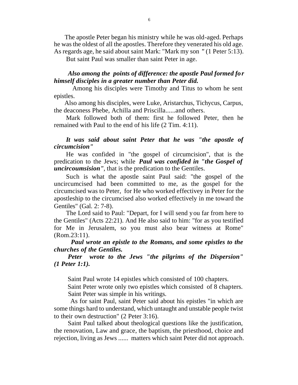The apostle Peter began his ministry while he was old-aged. Perhaps he was the oldest of all the apostles. Therefore they venerated his old age. As regards age, he said about saint Mark: "Mark my son *"* (1 Peter 5:13).

But saint Paul was smaller than saint Peter in age.

# *Also among the points of difference: the apostle Paul formed for himself disciples in a greater number than Peter did.*

 Among his disciples were Timothy and Titus to whom he sent epistles.

 Also among his disciples, were Luke, Aristarchus, Tichycus, Carpus, the deaconess Phebe, Achilla and Priscilla......and others.

 Mark followed both of them: first he followed Peter, then he remained with Paul to the end of his life (2 Tim. 4:11).

#### *It was said about saint Peter that he was "the apostle of circumcision"*

 He was confided in "the gospel of circumcision", that is the predication to the Jews; while *Paul was confided in "the Gospel of uncircoumsision"*, that is the predication to the Gentiles.

 Such is what the apostle saint Paul said: "the gospel of the uncircumcised had been committed to me, as the gospel for the circumcised was to Peter, for He who worked effectivey in Peter for the apostleship to the circumcised also worked effectively in me toward the Gentiles" (Gal. 2: 7-8).

 The Lord said to Paul: "Depart, for I will send you far from here to the Gentiles" (Acts 22:21). And He also said to him: "for as you testified for Me in Jerusalem, so you must also bear witness at Rome" (Rom.23:11).

 *Paul wrote an epistle to the Romans, and some epistles to the churches of the Gentiles.* 

 *Peter wrote to the Jews "the pilgrims of the Dispersion" (1 Peter 1:1).*

Saint Paul wrote 14 epistles which consisted of 100 chapters.

 Saint Peter wrote only two epistles which consisted of 8 chapters. Saint Peter was simple in his writings.

 As for saint Paul, saint Peter said about his epistles "in which are some things hard to understand, which untaught and unstable people twist to their own destruction" (2 Peter 3:16).

 Saint Paul talked about theological questions like the justification, the renovation, Law and grace, the baptism, the priesthood, choice and rejection, living as Jews ...... matters which saint Peter did not approach.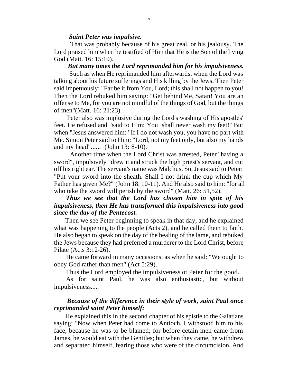#### *Saint Peter was impulsive.*

 That was probably because of his great zeal, or his jealousy. The Lord praised him when he testified of Him that He is the Son of the living God (Matt. 16: 15:19).

#### *But many times the Lord reprimanded him for his impulsiveness.*

 Such as when He reprimanded him afterwards, when the Lord was talking about his future sufferings and His killing by the Jews. Then Peter said impetuously: "Far be it from You, Lord; this shall not happen to you! Then the Lord rebuked him saying: "Get behind Me, Satan! You are an offense to Me, for you are not mindful of the things of God, but the things of men"(Matt. 16: 21:23).

 Peter also was implusive during the Lord's washing of His apostles' feet. He refused and "said to Him: You shall never wash my feet!" But when "Jesus answered him: "If I do not wash you, you have no part with Me. Simon Peter said to Him: "Lord, not my feet only, but also my hands and my head"...... (John 13: 8-10).

 Another time when the Lord Christ was arrested, Peter "having a sword", impulsively "drew it and struck the high priest's servant, and cut off his right ear. The servant's name was Malchus. So, Jesus said to Peter: "Put your sword into the sheath. Shall I not drink the cup which My Father has given Me?" (John 18: 10-11). And He also said to him: "for all who take the sword will perish by the sword" (Matt. 26: 51,52).

# *Thus we see that the Lord has chosen him in spite of his impulsiveness, then He has transformed this impulsiveness into good since the day of the Pentecost.*

 Then we see Peter beginning to speak in that day, and he explained what was happening to the people (Acts 2), and he called them to faith. He also began to speak on the day of the healing of the lame, and rebuked the Jews because they had preferred a murderer to the Lord Christ, before Pilate (Acts 3:12-26).

He came forward in many occasions, as when he said: "We ought to obey God rather than men" (Act 5:29).

Thus the Lord employed the impulsiveness ot Peter for the good.

 As for saint Paul, he was also enthusiastic, but without impulsiveness.....

# *Because of the difference in their style of work, saint Paul once reprimanded saint Peter himself:*

 He explained this in the second chapter of his epistle to the Galatians saying: "Now when Peter had come to Antioch, I withstood him to his face, because he was to be blamed; for before cetain men came from James, he would eat with the Gentiles; but when they came, he withdrew and separated himself, fearing those who were of the circumcision. And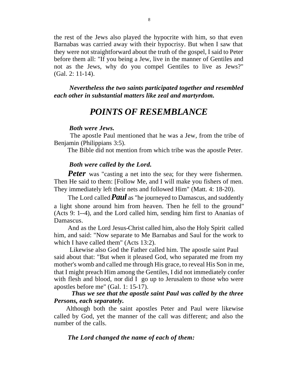the rest of the Jews also played the hypocrite with him, so that even Barnabas was carried away with their hypocrisy. But when I saw that they were not straightforward about the truth of the gospel, I said to Peter before them all: "If you being a Jew, live in the manner of Gentiles and not as the Jews, why do you compel Gentiles to live as Jews?" (Gal. 2: 11-14).

 *Nevertheless the two saints participated together and resembled each other in substantial matters like zeal and martyrdom.*

# *POINTS OF RESEMBLANCE*

#### *Both were Jews.*

 The apostle Paul mentioned that he was a Jew, from the tribe of Benjamin (Philippians 3:5).

The Bible did not mention from which tribe was the apostle Peter.

#### *Both were called by the Lord.*

**Peter** was "casting a net into the sea; for they were fishermen. Then He said to them: [Follow Me, and I will make you fishers of men. They immediately left their nets and followed Him" (Matt. 4: 18-20).

The Lord called **Paul** as "he journeyed to Damascus, and suddently a light shone around him from heaven. Then he fell to the ground" (Acts 9: 1--4), and the Lord called him, sending him first to Ananias of Damascus.

 And as the Lord Jesus-Christ called him, also the Holy Spirit called him, and said: "Now separate to Me Barnabas and Saul for the work to which I have called them" (Acts 13:2).

 Likewise also God the Father called him. The apostle saint Paul said about that: "But when it pleased God, who separated me from my mother's womb and called me through His grace, to reveal His Son in me, that I might preach Him among the Gentiles, I did not immediately confer with flesh and blood, nor did I go up to Jerusalem to those who were apostles before me" (Gal. 1: 15-17).

 *Thus we see that the apostle saint Paul was called by the three Persons, each separately.*

 Although both the saint apostles Peter and Paul were likewise called by God, yet the manner of the call was different; and also the number of the calls.

#### *The Lord changed the name of each of them:*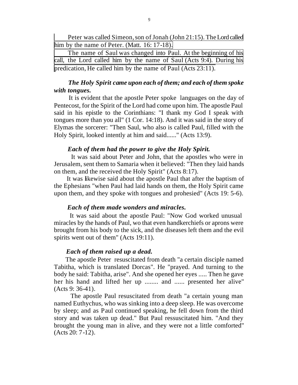Peter was called Simeon, son of Jonah (John 21:15). The Lord called him by the name of Peter. (Matt. 16: 17-18).

 The name of Saul was changed into Paul. At the beginning of his call, the Lord called him by the name of Saul (Acts 9:4). During his predication, He called him by the name of Paul (Acts 23:11).

# *The Holy Spirit came upon each of them; and each of them spoke with tongues.*

 It is evident that the apostle Peter spoke languages on the day of Pentecost, for the Spirit of the Lord had come upon him. The apostle Paul said in his epistle to the Corinthians: "I thank my God I speak with tongues more than you all" (1 Cor. 14:18). And it was said in the story of Elymas the sorcerer: "Then Saul, who also is called Paul, filled with the Holy Spirit, looked intently at him and said......" (Acts 13:9).

#### *Each of them had the power to give the Holy Spirit.*

 It was said about Peter and John, that the apostles who were in Jerusalem, sent them to Samaria when it believed: "Then they laid hands on them, and the received the Holy Spirit" (Acts 8:17).

 It was likewise said about the apostle Paul that after the baptism of the Ephesians "when Paul had laid hands on them, the Holy Spirit came upon them, and they spoke with tongues and prohesied" (Acts 19: 5-6).

#### *Each of them made wonders and miracles.*

 It was said about the apostle Paul: "Now God worked unusual miracles by the hands of Paul, wo that even handkerchiefs or aprons were brought from his body to the sick, and the diseases left them and the evil spirits went out of them" (Acts 19:11).

#### *Each of them raised up a dead.*

 The apostle Peter resuscitated from death "a certain disciple named Tabitha, which is translated Dorcas". He "prayed. And turning to the body he said: Tabitha, arise". And she opened her eyes ..... Then he gave her his hand and lifted her up ........ and ...... presented her alive" (Acts 9: 36-41).

 The apostle Paul resuscitated from death "a certain young man named Euthychus, who was sinking into a deep sleep. He was overcome by sleep; and as Paul continued speaking, he fell down from the third story and was taken up dead." But Paul ressuscitated him. "And they brought the young man in alive, and they were not a little comforted" (Acts 20: 7-12).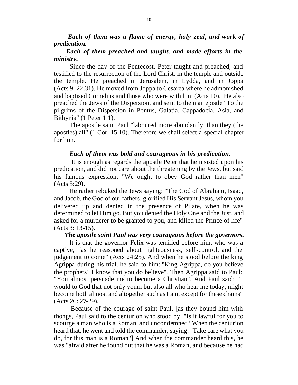*Each of them was a flame of energy, holy zeal, and work of predication.*

# *Each of them preached and taught, and made efforts in the ministry.*

 Since the day of the Pentecost, Peter taught and preached, and testified to the resurrection of the Lord Christ, in the temple and outside the temple. He preached in Jerusalem, in Lydda, and in Joppa (Acts 9: 22,31). He moved from Joppa to Cesarea where he admonished and baptised Cornelius and those who were with him (Acts 10). He also preached the Jews of the Dispersion, and sent to them an epistle "To the pilgrims of the Dispersion in Pontus, Galatia, Cappadocia, Asia, and Bithynia" (1 Peter 1:1).

 The apostle saint Paul "laboured more abundantly than they (the apostles) all" (1 Cor. 15:10). Therefore we shall select a special chapter for him.

#### *Each of them was bold and courageous in his predication.*

 It is enough as regards the apostle Peter that he insisted upon his predication, and did not care about the threatening by the Jews, but said his famous expression: "We ought to obey God rather than men" (Acts 5:29).

 He rather rebuked the Jews saying: "The God of Abraham, Isaac, and Jacob, the God of our fathers, glorified His Servant Jesus, whom you delivered up and denied in the presence of Pilate, when he was determined to let Him go. But you denied the Holy One and the Just, and asked for a murderer to be granted to you, and killed the Prince of life" (Acts 3: 13-15).

#### *The apostle saint Paul was very courageous before the governors.*

 It is that the governor Felix was terrified before him, who was a captive, "as he reasoned about righteousness, self-control, and the judgement to come" (Acts 24:25). And when he stood before the king Agrippa during his trial, he said to him: "King Agrippa, do you believe the prophets? I know that you do believe". Then Agrippa said to Paul: "You almost persuade me to become a Christian". And Paul said: "I would to God that not only youm but also all who hear me today, might become both almost and altogether such as I am, except for these chains" (Acts 26: 27-29).

 Because of the courage of saint Paul, [as they bound him with thongs, Paul said to the centurion who stood by: "Is it lawful for you to scourge a man who is a Roman, and uncondemned? When the centurion heard that, he went and told the commander, saying: "Take care what you do, for this man is a Roman"] And when the commander heard this, he was "afraid after he found out that he was a Roman, and because he had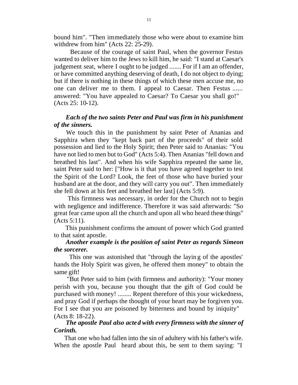bound him". "Then immediately those who were about to examine him withdrew from him" (Acts 22: 25-29).

 Because of the courage of saint Paul, when the governor Festus wanted to deliver him to the Jews to kill him, he said: "I stand at Caesar's judgement seat, where I ought to be judged ....... For if I am an offender, or have committed anything deserving of death, I do not object to dying; but if there is nothing in these things of which these men accuse me, no one can deliver me to them. I appeal to Caesar. Then Festus ...... answered: "You have appealed to Caesar? To Caesar you shall go!" (Acts 25: 10-12).

# *Each of the two saints Peter and Paul was firm in his punishment of the sinners.*

 We touch this in the punishment by saint Peter of Ananias and Sapphira when they "kept back part of the proceeds" of their sold possession and lied to the Holy Spirit; then Peter said to Ananias: "You have not lied to men but to God" (Acts 5:4). Then Ananias "fell down and breathed his last". And when his wife Sapphira repeated the same lie, saint Peter said to her: ["How is it that you have agreed together to test the Spirit of the Lord? Look, the feet of those who have buried your husband are at the door, and they will carry you out". Then immediately she fell down at his feet and breathed her last] (Acts 5:9).

 This firmness was necessary, in order for the Church not to begin with negligence and indifference. Therefore it was said afterwards: "So great fear came upon all the church and upon all who heard these things" (Acts 5:11).

 This punishment confirms the amount of power which God granted to that saint apostle.

# *Another example is the position of saint Peter as regards Simeon the sorcerer.*

 This one was astonished that "through the layin g of the apostles' hands the Holy Spirit was given, he offered them money" to obtain the same gift!

 "But Peter said to him (with firmness and authority): "Your money perish with you, because you thought that the gift of God could be purchased with money! ........ Repent therefore of this your wickedness, and pray God if perhaps the thought of your heart may be forgiven you. For I see that you are poisoned by bitterness and bound by iniquity" (Acts 8: 18-22).

# *The apostle Paul also acted with every firmness with the sinner of Corinth.*

 That one who had fallen into the sin of adultery with his father's wife. When the apostle Paul heard about this, he sent to them saying: "I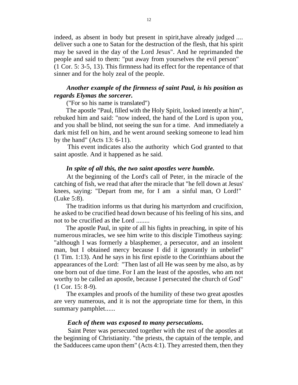indeed, as absent in body but present in spirit,have already judged .... deliver such a one to Satan for the destruction of the flesh, that his spirit may be saved in the day of the Lord Jesus". And he reprimanded the people and said to them: "put away from yourselves the evil person" (1 Cor. 5: 3-5, 13). This firmness had its effect for the repentance of that sinner and for the holy zeal of the people.

# *Another example of the firmness of saint Paul, is his position as regards Elymas the sorcerer.*

("For so his name is translated")

 The apostle "Paul, filled with the Holy Spirit, looked intently at him", rebuked him and said: "now indeed, the hand of the Lord is upon you, and you shall be blind, not seeing the sun for a time. And immediately a dark mist fell on him, and he went around seeking someone to lead him by the hand" (Acts 13: 6-11).

 This event indicates also the authority which God granted to that saint apostle. And it happened as he said.

#### *In spite of all this, the two saint apostles were humble.*

 At the beginning of the Lord's call of Peter, in the miracle of the catching of fish, we read that after the miracle that "he fell down at Jesus' knees, saying: "Depart from me, for I am a sinful man, O Lord!" (Luke 5:8).

 The tradition informs us that during his martyrdom and crucifixion, he asked to be crucified head down because of his feeling of his sins, and not to be crucified as the Lord ........

 The apostle Paul, in spite of all his fights in preaching, in spite of his numerous miracles, we see him write to this disciple Timotheus saying: "although I was formerly a blasphemer, a persecutor, and an insolent man, but I obtained mercy because I did it ignorantly in unbelief" (1 Tim. 1:13). And he says in his first epistle to the Corinthians about the appearances of the Lord: "Then last of all He was seen by me also, as by one born out of due time. For I am the least of the apostles, who am not worthy to be called an apostle, because I persecuted the church of God" (1 Cor. 15: 8-9).

 The examples and proofs of the humility of these two great apostles are very numerous, and it is not the appropriate time for them, in this summary pamphlet......

#### *Each of them was exposed to many persecutions.*

 Saint Peter was persecuted together with the rest of the apostles at the beginning of Christianity. "the priests, the captain of the temple, and the Sadducees came upon them" (Acts 4:1). They arrested them, then they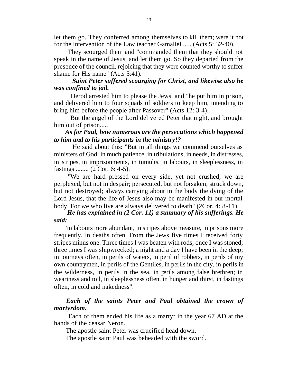let them go. They conferred among themselves to kill them; were it not for the intervention of the Law teacher Gamaliel ..... (Acts 5: 32-40).

 They scourged them and "commanded them that they should not speak in the name of Jesus, and let them go. So they departed from the presence of the council, rejoicing that they were counted worthy to suffer shame for His name" (Acts 5:41).

### *Saint Peter suffered scourging for Christ, and likewise also he was confined to jail.*

 Herod arrested him to please the Jews, and "he put him in prison, and delivered him to four squads of soldiers to keep him, intending to bring him before the people after Passover" (Acts 12: 3-4).

 But the angel of the Lord delivered Peter that night, and brought him out of prison.....

# *As for Paul, how numerous are the persecutions which happened to him and to his participants in the ministry!?*

 He said about this: "But in all things we commend ourselves as ministers of God: in much patience, in tribulations, in needs, in distresses, in stripes, in imprisonments, in tumults, in labours, in sleeplessness, in fastings ........ (2 Cor. 6: 4-5).

 "We are hard pressed on every side, yet not crushed; we are perplexed, but not in despair; persecuted, but not forsaken; struck down, but not destroyed; always carrying about in the body the dying of the Lord Jesus, that the life of Jesus also may be manifested in our mortal body. For we who live are always delivered to death" (2Cor. 4: 8-11).

# *He has explained in (2 Cor. 11) a summary of his sufferings. He said:*

 "in labours more abundant, in stripes above measure, in prisons more frequently, in deaths often. From the Jews five times I received forty stripes minus one. Three times I was beaten with rods; once I was stoned; three times I was shipwrecked; a night and a day I have been in the deep; in journeys often, in perils of waters, in peril of robbers, in perils of my own countrymen, in perils of the Gentiles, in perils in the city, in perils in the wilderness, in perils in the sea, in perils among false brethren; in weariness and toil, in sleeplessness often, in hunger and thirst, in fastings often, in cold and nakedness".

# *Each of the saints Peter and Paul obtained the crown of martyrdom.*

 Each of them ended his life as a martyr in the year 67 AD at the hands of the ceasar Neron.

The apostle saint Peter was crucified head down.

The apostle saint Paul was beheaded with the sword.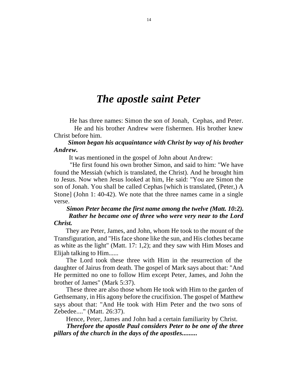# *The apostle saint Peter*

He has three names: Simon the son of Jonah, Cephas, and Peter.

 He and his brother Andrew were fishermen. His brother knew Christ before him.

# *Simon began his acquaintance with Christ by way of his brother Andrew.*

It was mentioned in the gospel of John about Andrew:

 "He first found his own brother Simon, and said to him: "We have found the Messiah (which is translated, the Christ). And he brought him to Jesus. Now when Jesus looked at him, He said: "You are Simon the son of Jonah. You shall be called Cephas [which is translated, (Peter,) A Stone] (John 1: 40-42). We note that the three names came in a single verse.

## *Simon Peter became the first name among the twelve (Matt. 10:2). Rather he became one of three who were very near to the Lord Christ.*

 They are Peter, James, and John, whom He took to the mount of the Transfiguration, and "His face shone like the sun, and His clothes became as white as the light" (Matt. 17: 1,2); and they saw with Him Moses and Elijah talking to Him......

 The Lord took these three with Him in the resurrection of the daughter of Jairus from death. The gospel of Mark says about that: "And He permitted no one to follow Him except Peter, James, and John the brother of James" (Mark 5:37).

 These three are also those whom He took with Him to the garden of Gethsemany, in His agony before the crucifixion. The gospel of Matthew says about that: "And He took with Him Peter and the two sons of Zebedee...." (Matt. 26:37).

Hence, Peter, James and John had a certain familiarity by Christ.

 *Therefore the apostle Paul considers Peter to be one of the three pillars of the church in the days of the apostles.........*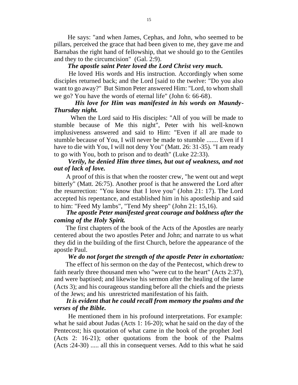He says: "and when James, Cephas, and John, who seemed to be pillars, perceived the grace that had been given to me, they gave me and Barnabas the right hand of fellowship, that we should go to the Gentiles and they to the circumcision" (Gal. 2:9).

#### *The apostle saint Peter loved the Lord Christ very much.*

 He loved His words and His instruction. Accordingly when some disciples returned back; and the Lord [said to the twelve: "Do you also want to go away?" But Simon Peter answered Him: "Lord, to whom shall we go? You have the words of eternal life" (John 6: 66-68).

# *His love for Him was manifested in his words on Maundy-Thursday night.*

 When the Lord said to His disciples: "All of you will be made to stumble because of Me this night", Peter with his well-known implusiveness answered and said to Him: "Even if all are made to stumble because of You, I will never be made to stumble ....... Even if I have to die with You, I will not deny You" (Matt. 26: 31-35). "I am ready to go with You, both to prison and to death" (Luke 22:33).

# *Verily, he denied Him three times, but out of weakness, and not out of lack of love.*

 A proof of this is that when the rooster crew, "he went out and wept bitterly" (Matt. 26:75). Another proof is that he answered the Lord after the resurrection: "You know that I love you" (John 21: 17). The Lord accepted his repentance, and established him in his apostleship and said to him: "Feed My lambs", "Tend My sheep" (John 21: 15,16).

# *The apostle Peter manifested great courage and boldness after the coming of the Holy Spirit.*

 The first chapters of the book of the Acts of the Apostles are nearly centered about the two apostles Peter and John; and narrate to us what they did in the building of the first Church, before the appearance of the apostle Paul.

#### *We do not forget the strength of the apostle Peter in exhortation:*

 The effect of his sermon on the day of the Pentecost, which drew to faith nearly three thousand men who "were cut to the heart" (Acts 2:37), and were baptised; and likewise his sermon after the healing of the lame (Acts 3); and his courageous standing before all the chiefs and the priests of the Jews; and his unrestricted manifestation of his faith.

# *It is evident that he could recall from memory the psalms and the verses of the Bible.*

 He mentioned them in his profound interpretations. For example: what he said about Judas (Acts 1: 16-20); what he said on the day of the Pentecost; his quotation of what came in the book of the prophet Joel (Acts 2: 16-21); other quotations from the book of the Psalms (Acts :24-30) ..... all this in consequent verses. Add to this what he said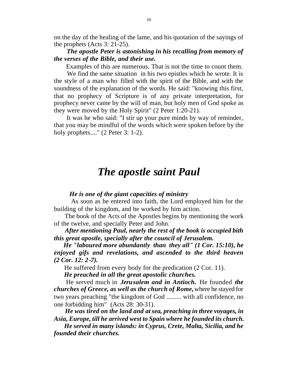on the day of the healing of the lame, and his quotation of the sayings of the prophets (Acts 3: 21-25).

# *The apostle Peter is astonishing in his recalling from memory of the verses of the Bible, and their use.*

Examples of this are numerous. That is not the time to count them.

 We find the same situation in his two epistles which he wrote. It is the style of a man who filled with the spirit of the Bible, and with the soundness of the explanation of the words. He said: "knowing this first, that no prophecy of Scripture is of any private interpretation, for prophecy never came by the will of man, but holy men of God spoke as they were moved by the Holy Spirit" (2 Peter 1:20-21).

 It was he who said: "I stir up your pure minds by way of reminder, that you may be mindful of the words which were spoken before by the holy prophets...." (2 Peter 3: 1-2).

# *The apostle saint Paul*

#### *He is one of the giant capacities of ministry*

 As soon as he entered into faith, the Lord employed him for the building of the kingdom, and he worked by him action.

 The book of the Acts of the Apostles begins by mentioning the work of the twelve, and specially Peter and John.

 *After mentioning Paul, nearly the rest of the book is occupied bith this great apostle, specially after the council of Jerusalem.*

 *He "laboured more abundantly than they all" (1 Cor. 15:10), he enjoyed gifs and revelations, and ascended to the third heaven (2 Cor. 12: 2-7).*

 He suffered from every body for the predication (2 Cor. 11).  *He preached in all the great apostolic churches.*

 He served much in *Jerusalem and in Antioch.* He founded *the churches of Greece, as well as the church of Rome,* where he stayed for two years preaching "the kingdom of God ......... with all confidence, no one forbidding him" (Acts 28: 30-31).

 *He was tired on the land and at sea, preaching in three voyages, in Asia, Europe, till he arrived west to Spain where he founded its church.*

 *He served in many islands: in Cyprus, Crete, Malta, Sicilia, and he founded their churches.*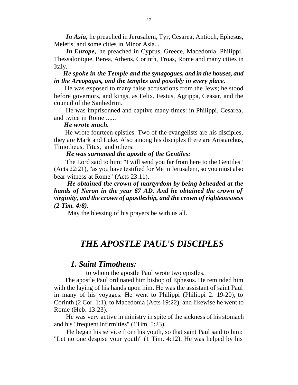*In Asia,* he preached in Jerusalem, Tyr, Cesarea, Antioch, Ephesus, Meletis, and some cities in Minor Asia....

 *In Europe,* he preached in Cyprus, Greece, Macedonia, Philippi, Thessalonique, Berea, Athens, Corinth, Troas, Rome and many cities in Italy.

# *He spoke in the Temple and the synagogues, and in the houses, and in the Areopagus, and the temples and possibly in every place.*

 He was exposed to many false accusations from the Jews; he stood before governors, and kings, as Felix, Festus, Agrippa, Ceasar, and the council of the Sanhedrim.

 He was imprisonned and captive many times: in Philippi, Cesarea, and twice in Rome ......

#### *He wrote much.*

 He wrote fourteen epistles. Two of the evangelists are his disciples, they are Mark and Luke. Also among his disciples there are Aristarchus, Timotheus, Titus, and others.

#### *He was surnamed the apostle of the Gentiles:*

 The Lord said to him: "I will send you far from here to the Gentiles" (Acts 22:21), "as you have testified for Me in Jerusalem, so you must also bear witness at Rome" (Acts 23:11).

 *He obtained the crown of martyrdom by being beheaded at the hands of Neron in the year 67 AD. And he obtained the crown of virginity, and the crown of apostleship, and the crown of righteousness (2 Tim. 4:8).*

May the blessing of his prayers be with us all.

# *THE APOSTLE PAUL'S DISCIPLES*

# *1. Saint Timotheus:*

to whom the apostle Paul wrote two epistles.

 The apostle Paul ordinated him bishop of Ephesus. He reminded him with the laying of his hands upon him. He was the assistant of saint Paul in many of his voyages. He went to Philippi (Philippi 2: 19-20); to Corinth (2 Cor. 1:1), to Macedonia (Acts 19:22), and likewise he went to Rome (Heb. 13:23).

 He was very active in ministry in spite of the sickness of his stomach and his "frequent infirmities" (1Tim. 5:23).

 He began his service from his youth, so that saint Paul said to him: "Let no one despise your youth" (1 Tim. 4:12). He was helped by his